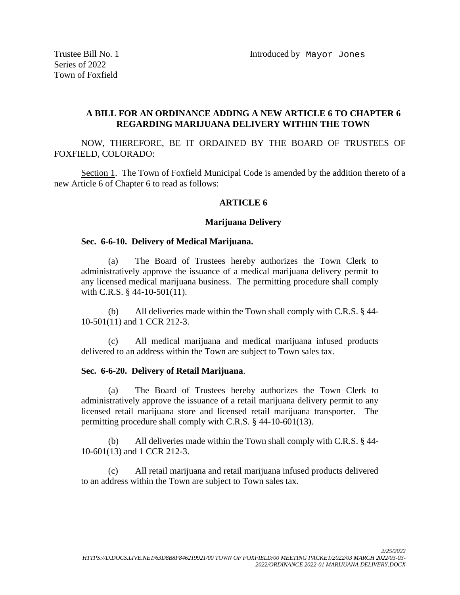Series of 2022 Town of Foxfield

# **A BILL FOR AN ORDINANCE ADDING A NEW ARTICLE 6 TO CHAPTER 6 REGARDING MARIJUANA DELIVERY WITHIN THE TOWN**

NOW, THEREFORE, BE IT ORDAINED BY THE BOARD OF TRUSTEES OF FOXFIELD, COLORADO:

Section 1. The Town of Foxfield Municipal Code is amended by the addition thereto of a new Article 6 of Chapter 6 to read as follows:

## **ARTICLE 6**

#### **Marijuana Delivery**

#### **Sec. 6-6-10. Delivery of Medical Marijuana.**

(a) The Board of Trustees hereby authorizes the Town Clerk to administratively approve the issuance of a medical marijuana delivery permit to any licensed medical marijuana business. The permitting procedure shall comply with C.R.S. § 44-10-501(11).

(b) All deliveries made within the Town shall comply with C.R.S. § 44- 10-501(11) and 1 CCR 212-3.

(c) All medical marijuana and medical marijuana infused products delivered to an address within the Town are subject to Town sales tax.

### **Sec. 6-6-20. Delivery of Retail Marijuana**.

(a) The Board of Trustees hereby authorizes the Town Clerk to administratively approve the issuance of a retail marijuana delivery permit to any licensed retail marijuana store and licensed retail marijuana transporter. The permitting procedure shall comply with C.R.S. § 44-10-601(13).

(b) All deliveries made within the Town shall comply with C.R.S. § 44- 10-601(13) and 1 CCR 212-3.

(c) All retail marijuana and retail marijuana infused products delivered to an address within the Town are subject to Town sales tax.